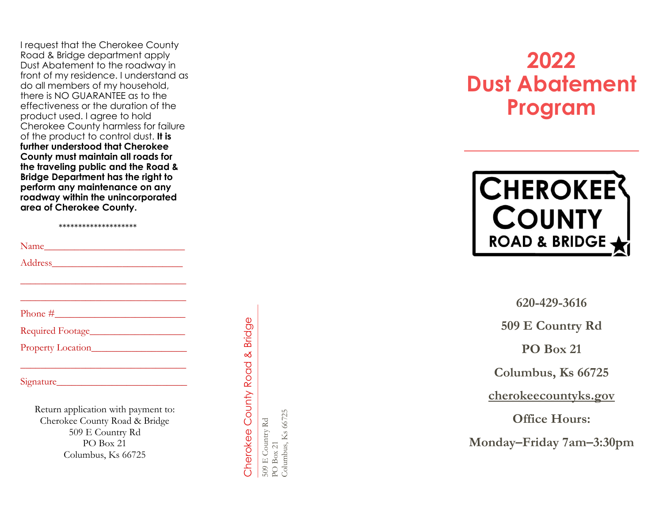I request that the Cherokee County<br>Road & Bridge department apply Dust Abatement to the roadway in front of my residence. I understand as do all members of my household, there is NO GUARANTEE as to the effectiveness or the duration of the product used. I agree to hold Cherokee County harmless for failure of the product to control dust. **It is further understood that Cherokee County must maintain all roads for the traveling public and the Road & Bridge Department has the right to perform any maintenance on any roadway within the unincorporated area of Cherokee County.** 

\*\*\*\*\*\*\*\*\*\*\*\*\*\*\*\*\*\*\*\*

\_\_\_\_\_\_\_\_\_\_\_\_\_\_\_\_\_\_\_\_\_\_\_\_\_\_\_\_\_\_\_\_\_

\_\_\_\_\_\_\_\_\_\_\_\_\_\_\_\_\_\_\_\_\_\_\_\_\_\_\_\_\_\_\_\_\_

Name\_\_\_\_\_\_\_\_\_\_\_\_\_\_\_\_\_\_\_\_\_\_\_\_\_\_\_\_

Address\_\_\_\_\_\_\_\_\_\_\_\_\_\_\_\_\_\_\_\_\_\_\_\_\_\_

Phone  $\#$ 

Required Footage

Property Location

Signature

Return application with payment to: Cherokee County Road & Bridge 509 E Country Rd PO Box 21 Columbus, Ks 66725

 $\mathcal{L}_\text{max}$  and  $\mathcal{L}_\text{max}$  and  $\mathcal{L}_\text{max}$ 

**Bridge** Cherokee County Road & Bridge త Cherokee County Road  $509 \to$  Country Rd PO Box 21 Columbus, Ks 66725 509 E Country Rd

Columbus, Ks 66725

**2022 Dust Abatement Program**



**620 -429 -3616**

**509 E Country Rd**

**PO Box 21**

**Columbus, Ks 66725**

**cherokeecountyks.gov**

**Office Hours:**

**Monday–Friday 7am – 3 :30pm**